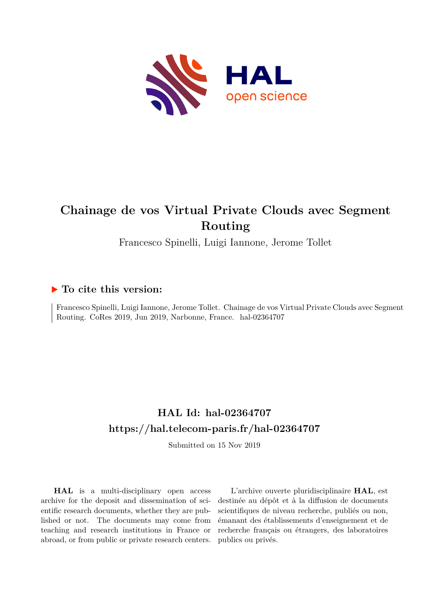

## **Chainage de vos Virtual Private Clouds avec Segment Routing**

Francesco Spinelli, Luigi Iannone, Jerome Tollet

#### **To cite this version:**

Francesco Spinelli, Luigi Iannone, Jerome Tollet. Chainage de vos Virtual Private Clouds avec Segment Routing. CoRes 2019, Jun 2019, Narbonne, France. hal-02364707

### **HAL Id: hal-02364707 <https://hal.telecom-paris.fr/hal-02364707>**

Submitted on 15 Nov 2019

**HAL** is a multi-disciplinary open access archive for the deposit and dissemination of scientific research documents, whether they are published or not. The documents may come from teaching and research institutions in France or abroad, or from public or private research centers.

L'archive ouverte pluridisciplinaire **HAL**, est destinée au dépôt et à la diffusion de documents scientifiques de niveau recherche, publiés ou non, émanant des établissements d'enseignement et de recherche français ou étrangers, des laboratoires publics ou privés.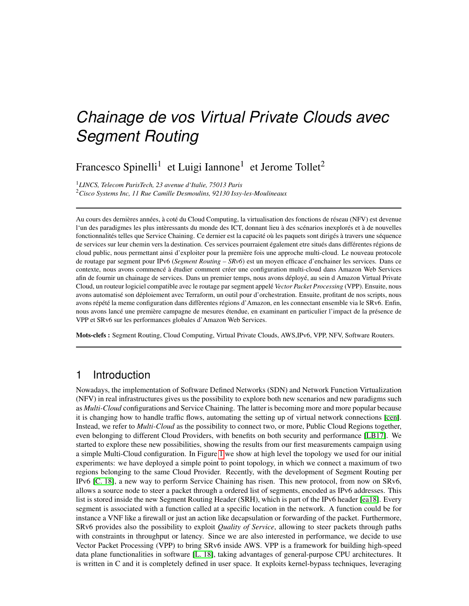# *Chainage de vos Virtual Private Clouds avec Segment Routing*

Francesco Spinelli<sup>1</sup> et Luigi Iannone<sup>1</sup> et Jerome Tollet<sup>2</sup>

<sup>1</sup>*LINCS, Telecom ParisTech, 23 avenue d'Italie, 75013 Paris* <sup>2</sup>*Cisco Systems Inc, 11 Rue Camille Desmoulins, 92130 Issy-les-Moulineaux*

Au cours des dernières années, à coté du Cloud Computing, la virtualisation des fonctions de réseau (NFV) est devenue l'un des paradigmes les plus intèressants du monde des ICT, donnant lieu à des scénarios inexplorés et à de nouvelles fonctionnalités telles que Service Chaining. Ce dernier est la capacité où les paquets sont dirigés à travers une séquence de services sur leur chemin vers la destination. Ces services pourraient également etre situés dans différentes régions de cloud public, nous permettant ainsi d'exploiter pour la première fois une approche multi-cloud. Le nouveau protocole de routage par segment pour IPv6 (*Segment Routing – SRv6*) est un moyen efficace d'enchainer les services. Dans ce contexte, nous avons commencé à étudier comment créer une configuration multi-cloud dans Amazon Web Services afin de fournir un chainage de services. Dans un premier temps, nous avons déployé, au sein d Amazon Virtual Private Cloud, un routeur logiciel compatible avec le routage par segment appelé *Vector Packet Processing* (VPP). Ensuite, nous avons automatisé son déploiement avec Terraform, un outil pour d'orchestration. Ensuite, profitant de nos scripts, nous avons répété la meme configuration dans diffèrentes régions d'Amazon, en les connectant ensemble via le SRv6. Enfin, nous avons lancé une première campagne de mesures étendue, en examinant en particulier l'impact de la présence de VPP et SRv6 sur les performances globales d'Amazon Web Services.

Mots-clefs : Segment Routing, Cloud Computing, Virtual Private Clouds, AWS,IPv6, VPP, NFV, Software Routers.

#### 1 Introduction

Nowadays, the implementation of Software Defined Networks (SDN) and Network Function Virtualization (NFV) in real infrastructures gives us the possibility to explore both new scenarios and new paradigms such as *Multi-Cloud* configurations and Service Chaining. The latter is becoming more and more popular because it is changing how to handle traffic flows, automating the setting up of virtual network connections [cen]. Instead, we refer to *Multi-Cloud* as the possibility to connect two, or more, Public Cloud Regions together, even belonging to different Cloud Providers, with benefits on both security and performance [LB17]. We started to explore these new possibilities, showing the results from our first measurements campaign using a simple Multi-Cloud configuration. In Figure 1 we show at high level the topology we used for our initial experiments: we have deployed a simple point to point topology, in which we connect a maximum of two regions belonging to the same Cloud Provider. Recently, with the development of Segment Routing per IPv6 [C. 18], a new way to perform Service Chaining has risen. This new protocol, from now on SRv6, allows a source node to steer a packet through a ordered list of segments, encoded as IPv6 addresses. This list is stored inside the new Segment Routing Header (SRH), which is part of the IPv6 header [ea18]. Every segment is associated with a function called at a specific location in the network. A function could be for instance a VNF like a firewall or just an action like decapsulation or forwarding of the packet. Furthermore, SRv6 provides also the possibility to exploit *Quality of Service*, allowing to steer packets through paths with constraints in throughput or latency. Since we are also interested in performance, we decide to use Vector Packet Processing (VPP) to bring SRv6 inside AWS. VPP is a framework for building high-speed data plane functionalities in software [L. 18], taking advantages of general-purpose CPU architectures. It is written in C and it is completely defined in user space. It exploits kernel-bypass techniques, leveraging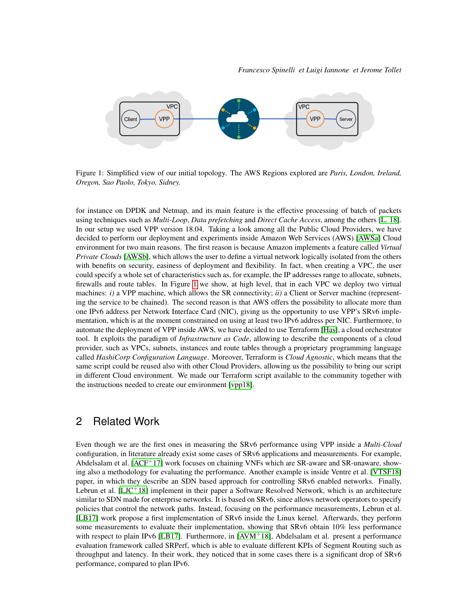

Figure 1: Simplified view of our initial topology. The AWS Regions explored are *Paris, London, Ireland, Oregon, Sao Paolo, Tokyo, Sidney.*

for instance on DPDK and Netmap, and its main feature is the effective processing of batch of packets using techniques such as *Multi-Loop*, *Data prefetching* and *Direct Cache Access*, among the others [L. 18]. In our setup we used VPP version 18.04. Taking a look among all the Public Cloud Providers, we have decided to perform our deployment and experiments inside Amazon Web Services (AWS) [AWSa] Cloud environment for two main reasons. The first reason is because Amazon implements a feature called *Virtual Private Clouds* [AWSb], which allows the user to define a virtual network logically isolated from the others with benefits on security, easiness of deployment and flexibility. In fact, when creating a VPC, the user could specify a whole set of characteristics such as, for example, the IP addresses range to allocate, subnets, firewalls and route tables. In Figure 1 we show, at high level, that in each VPC we deploy two virtual machines: *i)* a VPP machine, which allows the SR connectivity; *ii)* a Client or Server machine (representing the service to be chained). The second reason is that AWS offers the possibility to allocate more than one IPv6 address per Network Interface Card (NIC), giving us the opportunity to use VPP's SRv6 implementation, which is at the moment constrained on using at least two IPv6 address per NIC. Furthermore, to automate the deployment of VPP inside AWS, we have decided to use Terraform [Has], a cloud orchestrator tool. It exploits the paradigm of *Infrastructure as Code*, allowing to describe the components of a cloud provider, such as VPCs, subnets, instances and route tables through a proprietary programming language called *HashiCorp Configuration Language*. Moreover, Terraform is *Cloud Agnostic*, which means that the same script could be reused also with other Cloud Providers, allowing us the possibility to bring our script in different Cloud environment. We made our Terraform script available to the community together with the instructions needed to create our environment [vpp18].

#### 2 Related Work

Even though we are the first ones in measuring the SRv6 performance using VPP inside a *Multi-Cloud* configuration, in literature already exist some cases of SRv6 applications and measurements. For example, Abdelsalam et al. [ACF+17] work focuses on chaining VNFs which are SR-aware and SR-unaware, showing also a methodology for evaluating the performance. Another example is inside Ventre et al. [VTSF18] paper, in which they describe an SDN based approach for controlling SRv6 enabled networks. Finally, Lebrun et al.  $[L]$ C+18] implement in their paper a Software Resolved Network, which is an architecture similar to SDN made for enterprise networks. It is based on SRv6, since allows network operators to specify policies that control the network paths. Instead, focusing on the performance measurements, Lebrun et al. [LB17] work propose a first implementation of SRv6 inside the Linux kernel. Afterwards, they perform some measurements to evaluate their implementation, showing that SRv6 obtain 10% less performance with respect to plain IPv6 [LB17]. Furthermore, in [AVM+18], Abdelsalam et al. present a performance evaluation framework called SRPerf, which is able to evaluate different KPIs of Segment Routing such as throughput and latency. In their work, they noticed that in some cases there is a significant drop of SRv6 performance, compared to plan IPv6.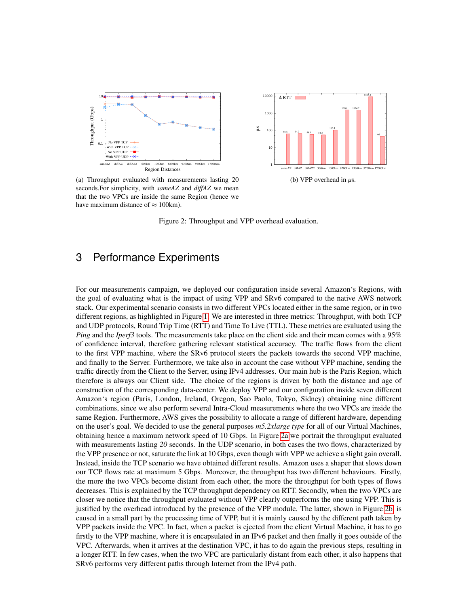



(a) Throughput evaluated with measurements lasting 20 seconds.For simplicity, with *sameAZ* and *diffAZ* we mean that the two VPCs are inside the same Region (hence we have maximum distance of  $\approx 100$ km).

Figure 2: Throughput and VPP overhead evaluation.

#### 3 Performance Experiments

Final start and start is the same start in the start of the seconds. For simplicity, with started the same Region (he have maximum distance of  $\approx$  100km).<br>
Figure 2: Throughp Figure 2: Throughp 120 cm maximum distance of For our measurements campaign, we deployed our configuration inside several Amazon's Regions, with the goal of evaluating what is the impact of using VPP and SRv6 compared to the native AWS network stack. Our experimental scenario consists in two different VPCs located either in the same region, or in two different regions, as highlighted in Figure 1. We are interested in three metrics: Throughput, with both TCP and UDP protocols, Round Trip Time (RTT) and Time To Live (TTL). These metrics are evaluated using the *Ping* and the *Iperf3* tools. The measurements take place on the client side and their mean comes with a 95% of confidence interval, therefore gathering relevant statistical accuracy. The traffic flows from the client to the first VPP machine, where the SRv6 protocol steers the packets towards the second VPP machine, and finally to the Server. Furthermore, we take also in account the case without VPP machine, sending the traffic directly from the Client to the Server, using IPv4 addresses. Our main hub is the Paris Region, which therefore is always our Client side. The choice of the regions is driven by both the distance and age of construction of the corresponding data-center. We deploy VPP and our configuration inside seven different Amazon's region (Paris, London, Ireland, Oregon, Sao Paolo, Tokyo, Sidney) obtaining nine different combinations, since we also perform several Intra-Cloud measurements where the two VPCs are inside the same Region. Furthermore, AWS gives the possibility to allocate a range of different hardware, depending on the user's goal. We decided to use the general purposes *m5.2xlarge type* for all of our Virtual Machines, obtaining hence a maximum network speed of 10 Gbps. In Figure 2a we portrait the throughput evaluated with measurements lasting 20 seconds. In the UDP scenario, in both cases the two flows, characterized by the VPP presence or not, saturate the link at 10 Gbps, even though with VPP we achieve a slight gain overall. Instead, inside the TCP scenario we have obtained different results. Amazon uses a shaper that slows down our TCP flows rate at maximum 5 Gbps. Moreover, the throughput has two different behaviours. Firstly, the more the two VPCs become distant from each other, the more the throughput for both types of flows decreases. This is explained by the TCP throughput dependency on RTT. Secondly, when the two VPCs are closer we notice that the throughput evaluated without VPP clearly outperforms the one using VPP. This is justified by the overhead introduced by the presence of the VPP module. The latter, shown in Figure 2b, is caused in a small part by the processing time of VPP, but it is mainly caused by the different path taken by VPP packets inside the VPC. In fact, when a packet is ejected from the client Virtual Machine, it has to go firstly to the VPP machine, where it is encapsulated in an IPv6 packet and then finally it goes outside of the VPC. Afterwards, when it arrives at the destination VPC, it has to do again the previous steps, resulting in a longer RTT. In few cases, when the two VPC are particularly distant from each other, it also happens that SRv6 performs very different paths through Internet from the IPv4 path.